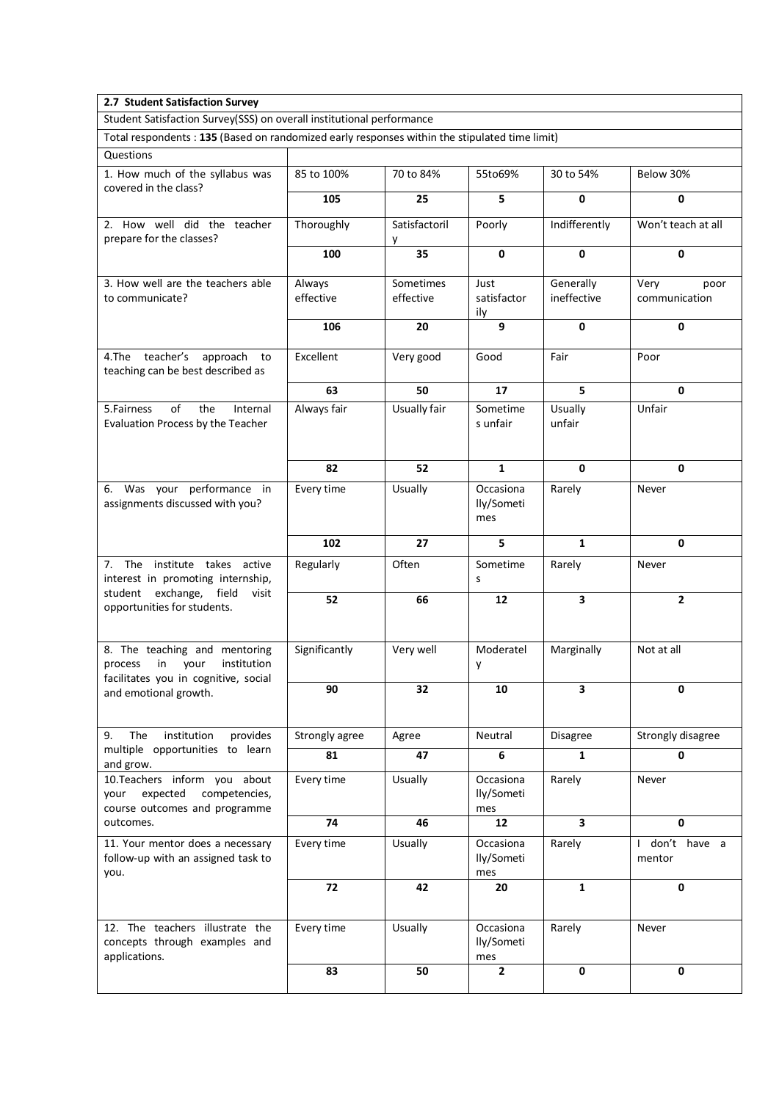| 2.7 Student Satisfaction Survey                                                                                                                                                                                                                                                           |                     |                        |                                |                          |                                        |  |  |  |  |
|-------------------------------------------------------------------------------------------------------------------------------------------------------------------------------------------------------------------------------------------------------------------------------------------|---------------------|------------------------|--------------------------------|--------------------------|----------------------------------------|--|--|--|--|
| Student Satisfaction Survey(SSS) on overall institutional performance                                                                                                                                                                                                                     |                     |                        |                                |                          |                                        |  |  |  |  |
| Total respondents : 135 (Based on randomized early responses within the stipulated time limit)                                                                                                                                                                                            |                     |                        |                                |                          |                                        |  |  |  |  |
| Questions                                                                                                                                                                                                                                                                                 |                     |                        |                                |                          |                                        |  |  |  |  |
| 1. How much of the syllabus was<br>covered in the class?                                                                                                                                                                                                                                  | 85 to 100%          | 70 to 84%              | 55to69%                        | 30 to 54%                | Below 30%                              |  |  |  |  |
|                                                                                                                                                                                                                                                                                           | 105                 | 25                     | 5                              | 0                        | 0                                      |  |  |  |  |
| 2. How well did the teacher<br>prepare for the classes?                                                                                                                                                                                                                                   | Thoroughly          | Satisfactoril<br>у     | Poorly                         | Indifferently            | Won't teach at all                     |  |  |  |  |
|                                                                                                                                                                                                                                                                                           | 100                 | 35                     | $\mathbf{0}$                   | $\mathbf 0$              | 0                                      |  |  |  |  |
| 3. How well are the teachers able<br>to communicate?                                                                                                                                                                                                                                      | Always<br>effective | Sometimes<br>effective | Just<br>satisfactor<br>ily     | Generally<br>ineffective | Very<br>poor<br>communication          |  |  |  |  |
|                                                                                                                                                                                                                                                                                           | 106                 | 20                     | 9                              | 0                        | 0                                      |  |  |  |  |
| 4.The teacher's approach<br>to<br>teaching can be best described as                                                                                                                                                                                                                       | Excellent           | Very good              | Good                           | Fair                     | Poor                                   |  |  |  |  |
|                                                                                                                                                                                                                                                                                           | 63                  | 50                     | 17                             | 5                        | $\mathbf{0}$                           |  |  |  |  |
| of<br>the<br>5. Fairness<br>Internal<br>Evaluation Process by the Teacher                                                                                                                                                                                                                 | Always fair         | Usually fair           | Sometime<br>s unfair           | Usually<br>unfair        | Unfair                                 |  |  |  |  |
|                                                                                                                                                                                                                                                                                           | 82                  | 52                     | $\mathbf{1}$                   | $\mathbf{0}$             | 0                                      |  |  |  |  |
| 6. Was your performance in<br>assignments discussed with you?                                                                                                                                                                                                                             | Every time          | Usually                | Occasiona<br>lly/Someti<br>mes | Rarely                   | Never                                  |  |  |  |  |
|                                                                                                                                                                                                                                                                                           | 102                 | 27                     | 5                              | $\mathbf{1}$             | $\mathbf{0}$                           |  |  |  |  |
| 7. The institute takes active<br>interest in promoting internship,<br>student exchange, field visit<br>opportunities for students.                                                                                                                                                        | Regularly           | Often                  | Sometime<br>S                  | Rarely                   | Never                                  |  |  |  |  |
|                                                                                                                                                                                                                                                                                           | 52                  | 66                     | 12                             | 3                        | $\overline{2}$                         |  |  |  |  |
| 8. The teaching and mentoring<br>institution<br>in your<br>process<br>facilitates you in cognitive, social<br>and emotional growth.                                                                                                                                                       | Significantly       | Very well              | Moderatel<br>у                 | Marginally               | Not at all                             |  |  |  |  |
|                                                                                                                                                                                                                                                                                           | 90                  | 32                     | 10                             | 3                        | 0                                      |  |  |  |  |
| The<br>institution<br>provides<br>9.<br>multiple opportunities to learn<br>and grow.<br>10.Teachers inform you about<br>competencies,<br>expected<br>your<br>course outcomes and programme<br>outcomes.<br>11. Your mentor does a necessary<br>follow-up with an assigned task to<br>you. | Strongly agree      | Agree                  | Neutral                        | Disagree                 | Strongly disagree                      |  |  |  |  |
|                                                                                                                                                                                                                                                                                           | 81                  | 47                     | 6                              | 1                        | 0                                      |  |  |  |  |
|                                                                                                                                                                                                                                                                                           | Every time          | Usually                | Occasiona<br>lly/Someti<br>mes | Rarely                   | Never                                  |  |  |  |  |
|                                                                                                                                                                                                                                                                                           | 74                  | 46                     | 12                             | $\overline{\mathbf{3}}$  | $\mathbf 0$                            |  |  |  |  |
|                                                                                                                                                                                                                                                                                           | Every time          | Usually                | Occasiona<br>lly/Someti<br>mes | Rarely                   | don't have a<br>$\mathbf{I}$<br>mentor |  |  |  |  |
|                                                                                                                                                                                                                                                                                           | 72                  | 42                     | 20                             | $\mathbf{1}$             | 0                                      |  |  |  |  |
| 12. The teachers illustrate the<br>concepts through examples and<br>applications.                                                                                                                                                                                                         | Every time          | Usually                | Occasiona<br>lly/Someti<br>mes | Rarely                   | Never                                  |  |  |  |  |
|                                                                                                                                                                                                                                                                                           | 83                  | 50                     | 2                              | $\mathbf 0$              | 0                                      |  |  |  |  |